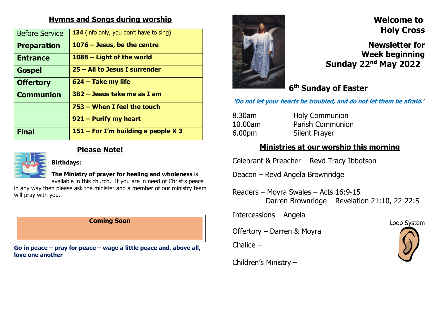## Hymns and Songs during worship

| <b>Before Service</b> | 134 (info only, you don't have to sing) |  |  |
|-----------------------|-----------------------------------------|--|--|
| <b>Preparation</b>    | $1076 - Jesus$ , be the centre          |  |  |
| <b>Entrance</b>       | 1086 - Light of the world               |  |  |
| <b>Gospel</b>         | $25 - All$ to Jesus I surrender         |  |  |
| <b>Offertory</b>      | 624 – Take my life                      |  |  |
| <b>Communion</b>      | 382 – Jesus take me as I am             |  |  |
|                       | 753 – When I feel the touch             |  |  |
|                       | $921 -$ Purify my heart                 |  |  |
| <b>Final</b>          | $151 -$ For I'm building a people X 3   |  |  |



#### Please Note!



The Ministry of prayer for healing and wholeness is

available in this church. If you are in need of Christ's peace in any way then please ask the minister and a member of our ministry team will pray with you.

#### Coming Soon

Go in peace – pray for peace – wage a little peace and, above all, love one another



## Welcome to Holy Cross

Newsletter for Week beginning Sunday 22nd May 2022

# 6<sup>th</sup> Sunday of Easter

'Do not let your hearts be troubled, and do not let them be afraid.'

| 8.30am  | <b>Holy Communion</b>   |
|---------|-------------------------|
| 10.00am | <b>Parish Communion</b> |
| 6.00pm  | <b>Silent Prayer</b>    |

### Ministries at our worship this morning

Celebrant & Preacher – Revd Tracy Ibbotson

Deacon – Revd Angela Brownridge

Readers – Moyra Swales – Acts 16:9-15 Darren Brownridge – Revelation 21:10, 22-22:5

Intercessions – Angela

Offertory – Darren & Moyra

Chalice –

Loop System

Children's Ministry –